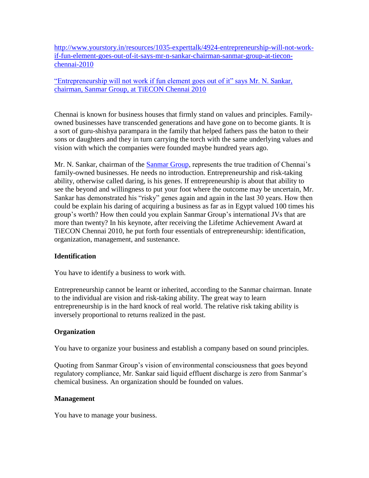[http://www.yourstory.in/resources/1035-experttalk/4924-entrepreneurship-will-not-work](http://www.yourstory.in/resources/1035-experttalk/4924-entrepreneurship-will-not-work-if-fun-element-goes-out-of-it-says-mr-n-sankar-chairman-sanmar-group-at-tiecon-chennai-2010)[if-fun-element-goes-out-of-it-says-mr-n-sankar-chairman-sanmar-group-at-tiecon](http://www.yourstory.in/resources/1035-experttalk/4924-entrepreneurship-will-not-work-if-fun-element-goes-out-of-it-says-mr-n-sankar-chairman-sanmar-group-at-tiecon-chennai-2010)[chennai-2010](http://www.yourstory.in/resources/1035-experttalk/4924-entrepreneurship-will-not-work-if-fun-element-goes-out-of-it-says-mr-n-sankar-chairman-sanmar-group-at-tiecon-chennai-2010)

["Entrepreneurship will not work if fun element goes out of it" says Mr. N. Sankar,](http://www.yourstory.in/resources/1035-experttalk/4924-entrepreneurship-will-not-work-if-fun-element-goes-out-of-it-says-mr-n-sankar-chairman-sanmar-group-at-tiecon-chennai-2010)  [chairman, Sanmar Group, at TiECON Chennai 2010](http://www.yourstory.in/resources/1035-experttalk/4924-entrepreneurship-will-not-work-if-fun-element-goes-out-of-it-says-mr-n-sankar-chairman-sanmar-group-at-tiecon-chennai-2010) 

Chennai is known for business houses that firmly stand on values and principles. Familyowned businesses have transcended generations and have gone on to become giants. It is a sort of guru-shishya parampara in the family that helped fathers pass the baton to their sons or daughters and they in turn carrying the torch with the same underlying values and vision with which the companies were founded maybe hundred years ago.

Mr. N. Sankar, chairman of the [Sanmar Group,](http://www.sanmargroup.com/index.htm) represents the true tradition of Chennai's family-owned businesses. He needs no introduction. Entrepreneurship and risk-taking ability, otherwise called daring, is his genes. If entrepreneurship is about that ability to see the beyond and willingness to put your foot where the outcome may be uncertain, Mr. Sankar has demonstrated his "risky" genes again and again in the last 30 years. How then could be explain his daring of acquiring a business as far as in Egypt valued 100 times his group's worth? How then could you explain Sanmar Group's international JVs that are more than twenty? In his keynote, after receiving the Lifetime Achievement Award at TiECON Chennai 2010, he put forth four essentials of entrepreneurship: identification, organization, management, and sustenance.

### **Identification**

You have to identify a business to work with.

Entrepreneurship cannot be learnt or inherited, according to the Sanmar chairman. Innate to the individual are vision and risk-taking ability. The great way to learn entrepreneurship is in the hard knock of real world. The relative risk taking ability is inversely proportional to returns realized in the past.

# **Organization**

You have to organize your business and establish a company based on sound principles.

Quoting from Sanmar Group's vision of environmental consciousness that goes beyond regulatory compliance, Mr. Sankar said liquid effluent discharge is zero from Sanmar's chemical business. An organization should be founded on values.

### **Management**

You have to manage your business.